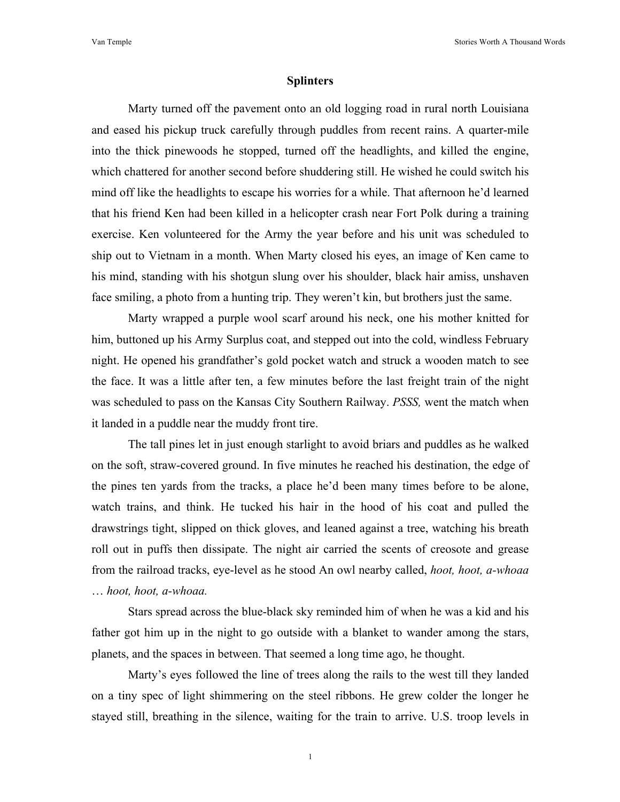## **Splinters**

Marty turned off the pavement onto an old logging road in rural north Louisiana and eased his pickup truck carefully through puddles from recent rains. A quarter-mile into the thick pinewoods he stopped, turned off the headlights, and killed the engine, which chattered for another second before shuddering still. He wished he could switch his mind off like the headlights to escape his worries for a while. That afternoon he'd learned that his friend Ken had been killed in a helicopter crash near Fort Polk during a training exercise. Ken volunteered for the Army the year before and his unit was scheduled to ship out to Vietnam in a month. When Marty closed his eyes, an image of Ken came to his mind, standing with his shotgun slung over his shoulder, black hair amiss, unshaven face smiling, a photo from a hunting trip. They weren't kin, but brothers just the same.

Marty wrapped a purple wool scarf around his neck, one his mother knitted for him, buttoned up his Army Surplus coat, and stepped out into the cold, windless February night. He opened his grandfather's gold pocket watch and struck a wooden match to see the face. It was a little after ten, a few minutes before the last freight train of the night was scheduled to pass on the Kansas City Southern Railway. *PSSS,* went the match when it landed in a puddle near the muddy front tire.

The tall pines let in just enough starlight to avoid briars and puddles as he walked on the soft, straw-covered ground. In five minutes he reached his destination, the edge of the pines ten yards from the tracks, a place he'd been many times before to be alone, watch trains, and think. He tucked his hair in the hood of his coat and pulled the drawstrings tight, slipped on thick gloves, and leaned against a tree, watching his breath roll out in puffs then dissipate. The night air carried the scents of creosote and grease from the railroad tracks, eye-level as he stood An owl nearby called, *hoot, hoot, a-whoaa* … *hoot, hoot, a-whoaa.*

Stars spread across the blue-black sky reminded him of when he was a kid and his father got him up in the night to go outside with a blanket to wander among the stars, planets, and the spaces in between. That seemed a long time ago, he thought.

Marty's eyes followed the line of trees along the rails to the west till they landed on a tiny spec of light shimmering on the steel ribbons. He grew colder the longer he stayed still, breathing in the silence, waiting for the train to arrive. U.S. troop levels in

1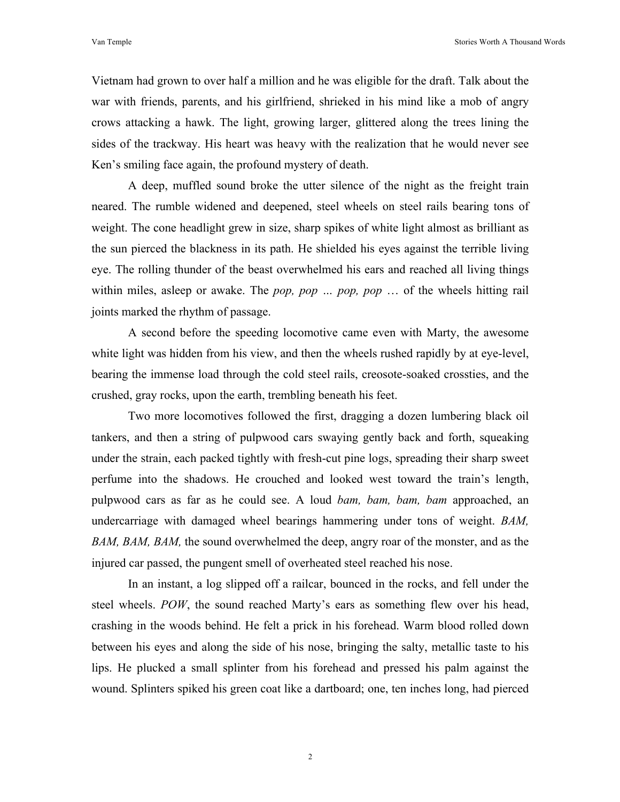Vietnam had grown to over half a million and he was eligible for the draft. Talk about the war with friends, parents, and his girlfriend, shrieked in his mind like a mob of angry crows attacking a hawk. The light, growing larger, glittered along the trees lining the sides of the trackway. His heart was heavy with the realization that he would never see Ken's smiling face again, the profound mystery of death.

A deep, muffled sound broke the utter silence of the night as the freight train neared. The rumble widened and deepened, steel wheels on steel rails bearing tons of weight. The cone headlight grew in size, sharp spikes of white light almost as brilliant as the sun pierced the blackness in its path. He shielded his eyes against the terrible living eye. The rolling thunder of the beast overwhelmed his ears and reached all living things within miles, asleep or awake. The *pop, pop … pop, pop* … of the wheels hitting rail joints marked the rhythm of passage.

A second before the speeding locomotive came even with Marty, the awesome white light was hidden from his view, and then the wheels rushed rapidly by at eye-level, bearing the immense load through the cold steel rails, creosote-soaked crossties, and the crushed, gray rocks, upon the earth, trembling beneath his feet.

Two more locomotives followed the first, dragging a dozen lumbering black oil tankers, and then a string of pulpwood cars swaying gently back and forth, squeaking under the strain, each packed tightly with fresh-cut pine logs, spreading their sharp sweet perfume into the shadows. He crouched and looked west toward the train's length, pulpwood cars as far as he could see. A loud *bam, bam, bam, bam* approached, an undercarriage with damaged wheel bearings hammering under tons of weight. *BAM, BAM, BAM, BAM,* the sound overwhelmed the deep, angry roar of the monster, and as the injured car passed, the pungent smell of overheated steel reached his nose.

In an instant, a log slipped off a railcar, bounced in the rocks, and fell under the steel wheels. *POW*, the sound reached Marty's ears as something flew over his head, crashing in the woods behind. He felt a prick in his forehead. Warm blood rolled down between his eyes and along the side of his nose, bringing the salty, metallic taste to his lips. He plucked a small splinter from his forehead and pressed his palm against the wound. Splinters spiked his green coat like a dartboard; one, ten inches long, had pierced